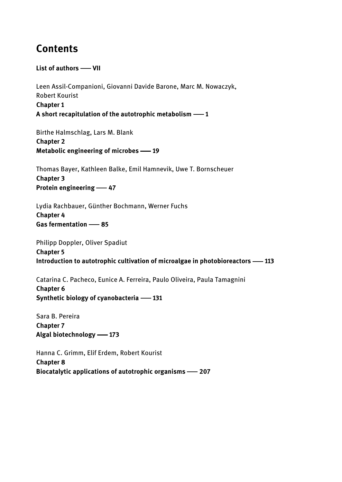## Contents

List of authors - VII

Leen Assil-Companioni, Giovanni Davide Barone, Marc M. Nowaczyk, Robert Kourist Chapter 1 A short recapitulation of the autotrophic metabolism  $-1$ 

Birthe Halmschlag, Lars M. Blank Chapter 2 Metabolic engineering of microbes -19

Thomas Bayer, Kathleen Balke, Emil Hamnevik, Uwe T. Bornscheuer Chapter 3 Protein engineering -47

Lydia Rachbauer, Günther Bochmann, Werner Fuchs Chapter 4 Gas fermentation -85

Philipp Doppler, Oliver Spadiut Chapter 5 Introduction to autotrophic cultivation of microalgae in photobioreactors -113

Catarina C. Pacheco, Eunice A. Ferreira, Paulo Oliveira, Paula Tamagnini Chapter 6 Synthetic biology of cyanobacteria -131

Sara B. Pereira Chapter 7 Algal biotechnology -173

Hanna C. Grimm, Elif Erdem, Robert Kourist Chapter 8 Biocatalytic applications of autotrophic organisms  $-207$